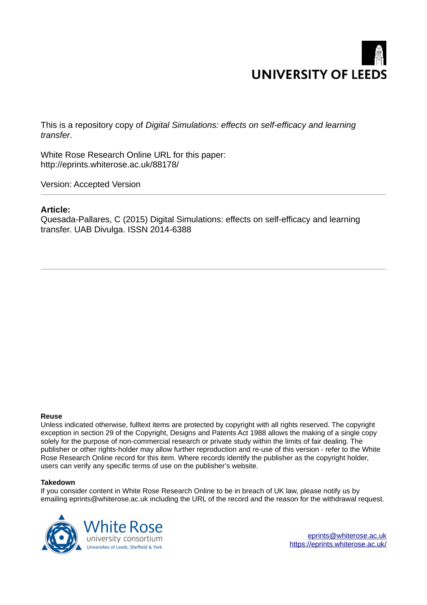

This is a repository copy of *Digital Simulations: effects on self-efficacy and learning transfer*.

White Rose Research Online URL for this paper: http://eprints.whiterose.ac.uk/88178/

Version: Accepted Version

## **Article:**

Quesada-Pallares, C (2015) Digital Simulations: effects on self-efficacy and learning transfer. UAB Divulga. ISSN 2014-6388

## **Reuse**

Unless indicated otherwise, fulltext items are protected by copyright with all rights reserved. The copyright exception in section 29 of the Copyright, Designs and Patents Act 1988 allows the making of a single copy solely for the purpose of non-commercial research or private study within the limits of fair dealing. The publisher or other rights-holder may allow further reproduction and re-use of this version - refer to the White Rose Research Online record for this item. Where records identify the publisher as the copyright holder, users can verify any specific terms of use on the publisher's website.

## **Takedown**

If you consider content in White Rose Research Online to be in breach of UK law, please notify us by emailing eprints@whiterose.ac.uk including the URL of the record and the reason for the withdrawal request.



[eprints@whiterose.ac.uk](mailto:eprints@whiterose.ac.uk) <https://eprints.whiterose.ac.uk/>